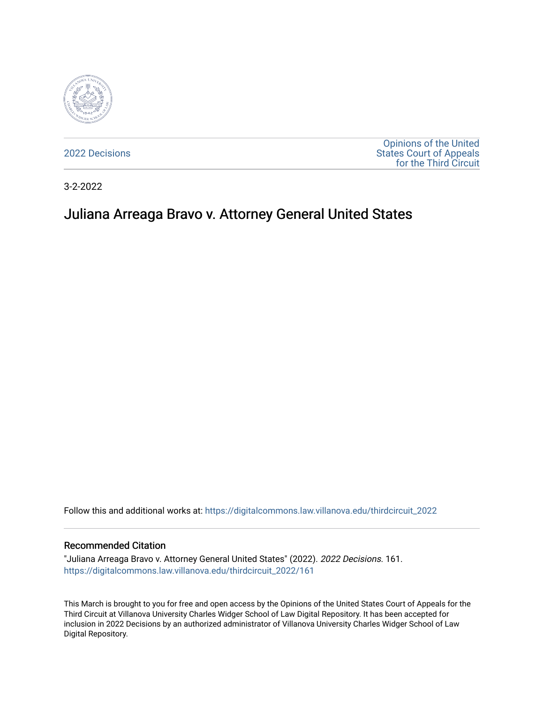

[2022 Decisions](https://digitalcommons.law.villanova.edu/thirdcircuit_2022)

[Opinions of the United](https://digitalcommons.law.villanova.edu/thirdcircuit)  [States Court of Appeals](https://digitalcommons.law.villanova.edu/thirdcircuit)  [for the Third Circuit](https://digitalcommons.law.villanova.edu/thirdcircuit) 

3-2-2022

# Juliana Arreaga Bravo v. Attorney General United States

Follow this and additional works at: [https://digitalcommons.law.villanova.edu/thirdcircuit\\_2022](https://digitalcommons.law.villanova.edu/thirdcircuit_2022?utm_source=digitalcommons.law.villanova.edu%2Fthirdcircuit_2022%2F161&utm_medium=PDF&utm_campaign=PDFCoverPages) 

#### Recommended Citation

"Juliana Arreaga Bravo v. Attorney General United States" (2022). 2022 Decisions. 161. [https://digitalcommons.law.villanova.edu/thirdcircuit\\_2022/161](https://digitalcommons.law.villanova.edu/thirdcircuit_2022/161?utm_source=digitalcommons.law.villanova.edu%2Fthirdcircuit_2022%2F161&utm_medium=PDF&utm_campaign=PDFCoverPages)

This March is brought to you for free and open access by the Opinions of the United States Court of Appeals for the Third Circuit at Villanova University Charles Widger School of Law Digital Repository. It has been accepted for inclusion in 2022 Decisions by an authorized administrator of Villanova University Charles Widger School of Law Digital Repository.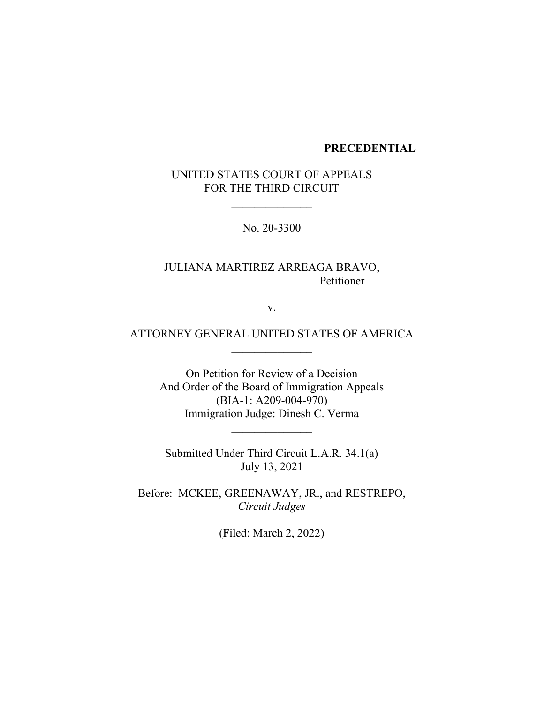# **PRECEDENTIAL**

UNITED STATES COURT OF APPEALS FOR THE THIRD CIRCUIT

No. 20-3300

JULIANA MARTIREZ ARREAGA BRAVO, Petitioner

v.

ATTORNEY GENERAL UNITED STATES OF AMERICA  $\mathcal{L}_\text{max}$ 

> On Petition for Review of a Decision And Order of the Board of Immigration Appeals (BIA-1: A209-004-970) Immigration Judge: Dinesh C. Verma

Submitted Under Third Circuit L.A.R. 34.1(a) July 13, 2021

Before: MCKEE, GREENAWAY, JR., and RESTREPO, *Circuit Judges*

(Filed: March 2, 2022)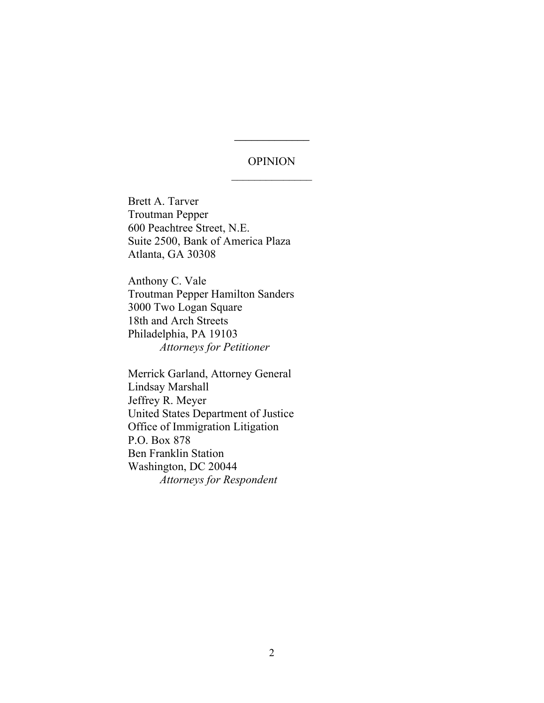# OPINION

 $\mathcal{L}$  , we have the set of  $\mathcal{L}$ 

Brett A. Tarver Troutman Pepper 600 Peachtree Street, N.E. Suite 2500, Bank of America Plaza Atlanta, GA 30308

Anthony C. Vale Troutman Pepper Hamilton Sanders 3000 Two Logan Square 18th and Arch Streets Philadelphia, PA 19103 *Attorneys for Petitioner*

Merrick Garland, Attorney General Lindsay Marshall Jeffrey R. Meyer United States Department of Justice Office of Immigration Litigation P.O. Box 878 Ben Franklin Station Washington, DC 20044 *Attorneys for Respondent*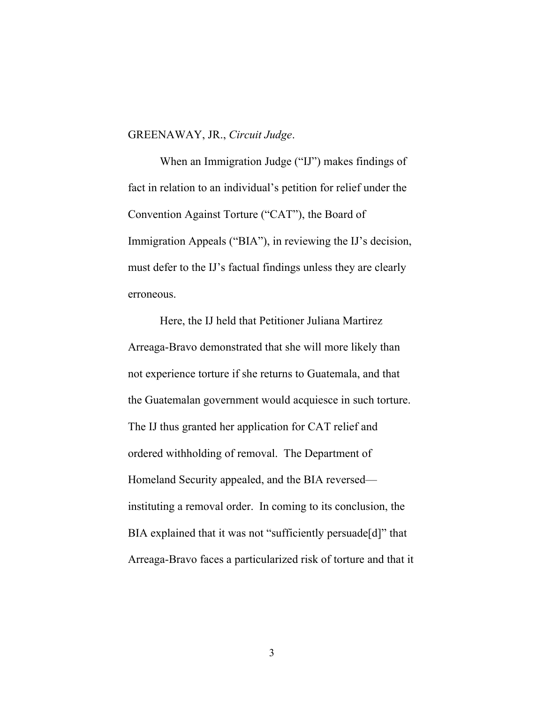# GREENAWAY, JR., *Circuit Judge*.

When an Immigration Judge ("IJ") makes findings of fact in relation to an individual's petition for relief under the Convention Against Torture ("CAT"), the Board of Immigration Appeals ("BIA"), in reviewing the IJ's decision, must defer to the IJ's factual findings unless they are clearly erroneous.

Here, the IJ held that Petitioner Juliana Martirez Arreaga-Bravo demonstrated that she will more likely than not experience torture if she returns to Guatemala, and that the Guatemalan government would acquiesce in such torture. The IJ thus granted her application for CAT relief and ordered withholding of removal. The Department of Homeland Security appealed, and the BIA reversed instituting a removal order. In coming to its conclusion, the BIA explained that it was not "sufficiently persuade[d]" that Arreaga-Bravo faces a particularized risk of torture and that it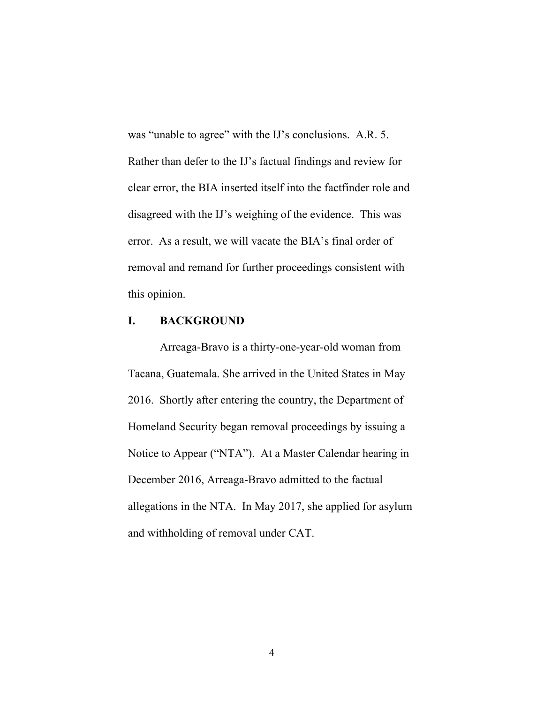was "unable to agree" with the IJ's conclusions. A.R. 5. Rather than defer to the IJ's factual findings and review for clear error, the BIA inserted itself into the factfinder role and disagreed with the IJ's weighing of the evidence. This was error. As a result, we will vacate the BIA's final order of removal and remand for further proceedings consistent with this opinion.

# **I. BACKGROUND**

Arreaga-Bravo is a thirty-one-year-old woman from Tacana, Guatemala. She arrived in the United States in May 2016. Shortly after entering the country, the Department of Homeland Security began removal proceedings by issuing a Notice to Appear ("NTA"). At a Master Calendar hearing in December 2016, Arreaga-Bravo admitted to the factual allegations in the NTA. In May 2017, she applied for asylum and withholding of removal under CAT.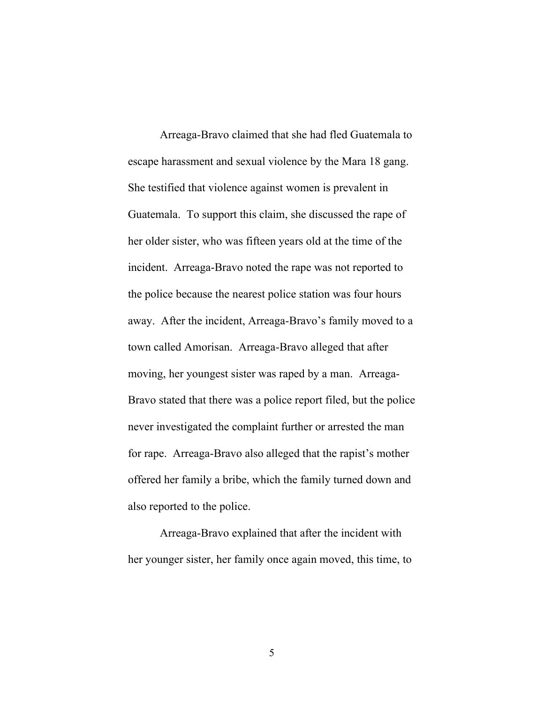Arreaga-Bravo claimed that she had fled Guatemala to escape harassment and sexual violence by the Mara 18 gang. She testified that violence against women is prevalent in Guatemala. To support this claim, she discussed the rape of her older sister, who was fifteen years old at the time of the incident. Arreaga-Bravo noted the rape was not reported to the police because the nearest police station was four hours away. After the incident, Arreaga-Bravo's family moved to a town called Amorisan. Arreaga-Bravo alleged that after moving, her youngest sister was raped by a man. Arreaga-Bravo stated that there was a police report filed, but the police never investigated the complaint further or arrested the man for rape. Arreaga-Bravo also alleged that the rapist's mother offered her family a bribe, which the family turned down and also reported to the police.

Arreaga-Bravo explained that after the incident with her younger sister, her family once again moved, this time, to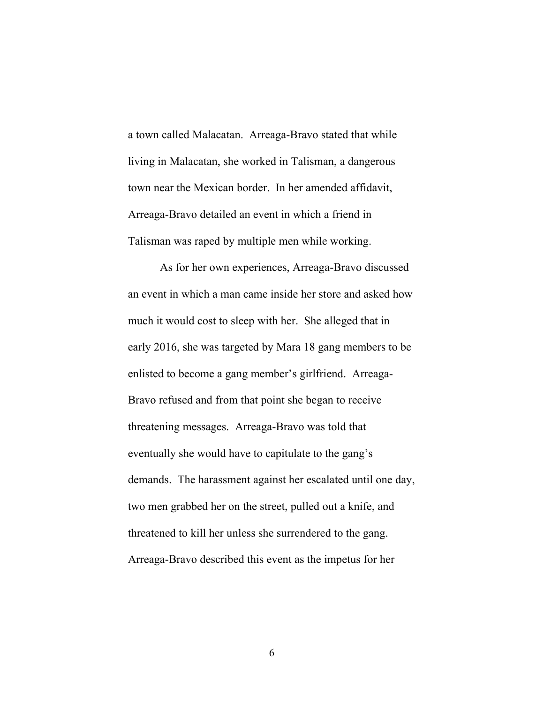a town called Malacatan. Arreaga-Bravo stated that while living in Malacatan, she worked in Talisman, a dangerous town near the Mexican border. In her amended affidavit, Arreaga-Bravo detailed an event in which a friend in Talisman was raped by multiple men while working.

As for her own experiences, Arreaga-Bravo discussed an event in which a man came inside her store and asked how much it would cost to sleep with her. She alleged that in early 2016, she was targeted by Mara 18 gang members to be enlisted to become a gang member's girlfriend. Arreaga-Bravo refused and from that point she began to receive threatening messages. Arreaga-Bravo was told that eventually she would have to capitulate to the gang's demands. The harassment against her escalated until one day, two men grabbed her on the street, pulled out a knife, and threatened to kill her unless she surrendered to the gang. Arreaga-Bravo described this event as the impetus for her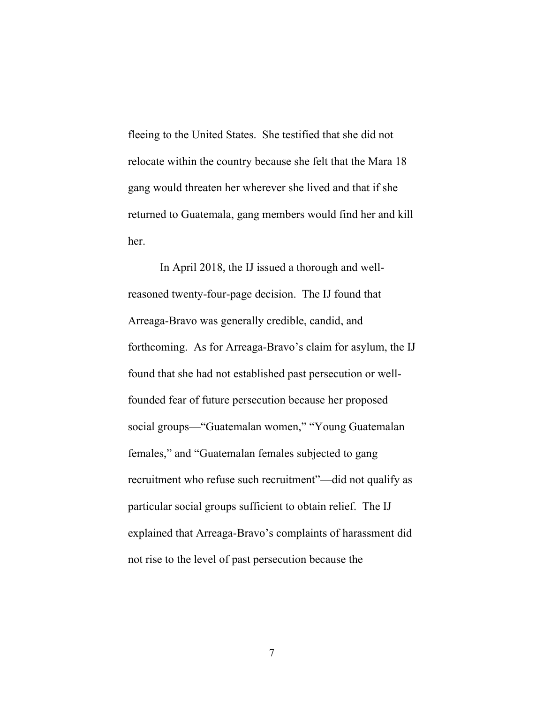fleeing to the United States. She testified that she did not relocate within the country because she felt that the Mara 18 gang would threaten her wherever she lived and that if she returned to Guatemala, gang members would find her and kill her.

In April 2018, the IJ issued a thorough and wellreasoned twenty-four-page decision. The IJ found that Arreaga-Bravo was generally credible, candid, and forthcoming. As for Arreaga-Bravo's claim for asylum, the IJ found that she had not established past persecution or wellfounded fear of future persecution because her proposed social groups—"Guatemalan women," "Young Guatemalan females," and "Guatemalan females subjected to gang recruitment who refuse such recruitment"—did not qualify as particular social groups sufficient to obtain relief. The IJ explained that Arreaga-Bravo's complaints of harassment did not rise to the level of past persecution because the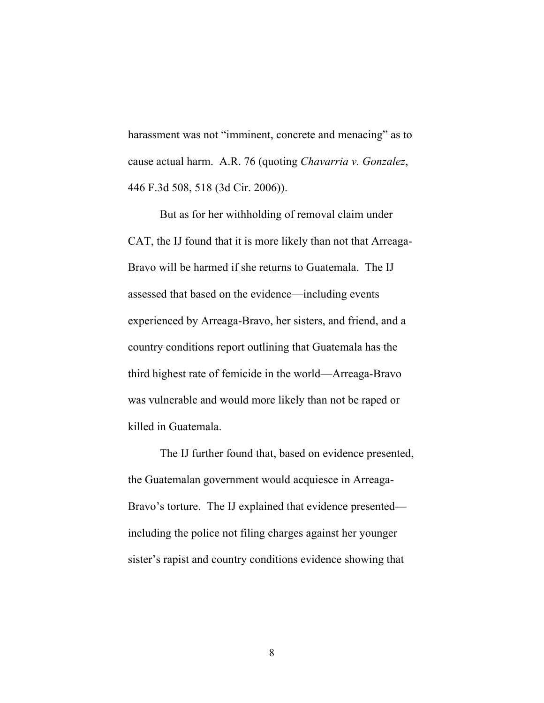harassment was not "imminent, concrete and menacing" as to cause actual harm. A.R. 76 (quoting *Chavarria v. Gonzalez*, 446 F.3d 508, 518 (3d Cir. 2006)).

But as for her withholding of removal claim under CAT, the IJ found that it is more likely than not that Arreaga-Bravo will be harmed if she returns to Guatemala. The IJ assessed that based on the evidence—including events experienced by Arreaga-Bravo, her sisters, and friend, and a country conditions report outlining that Guatemala has the third highest rate of femicide in the world—Arreaga-Bravo was vulnerable and would more likely than not be raped or killed in Guatemala.

The IJ further found that, based on evidence presented, the Guatemalan government would acquiesce in Arreaga-Bravo's torture. The IJ explained that evidence presented including the police not filing charges against her younger sister's rapist and country conditions evidence showing that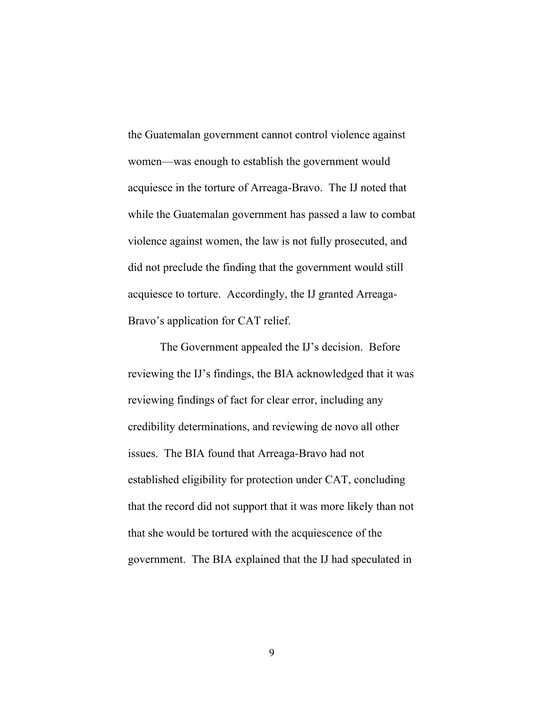the Guatemalan government cannot control violence against women—was enough to establish the government would acquiesce in the torture of Arreaga-Bravo. The IJ noted that while the Guatemalan government has passed a law to combat violence against women, the law is not fully prosecuted, and did not preclude the finding that the government would still acquiesce to torture. Accordingly, the IJ granted Arreaga-Bravo's application for CAT relief.

The Government appealed the IJ's decision. Before reviewing the IJ's findings, the BIA acknowledged that it was reviewing findings of fact for clear error, including any credibility determinations, and reviewing de novo all other issues. The BIA found that Arreaga-Bravo had not established eligibility for protection under CAT, concluding that the record did not support that it was more likely than not that she would be tortured with the acquiescence of the government. The BIA explained that the IJ had speculated in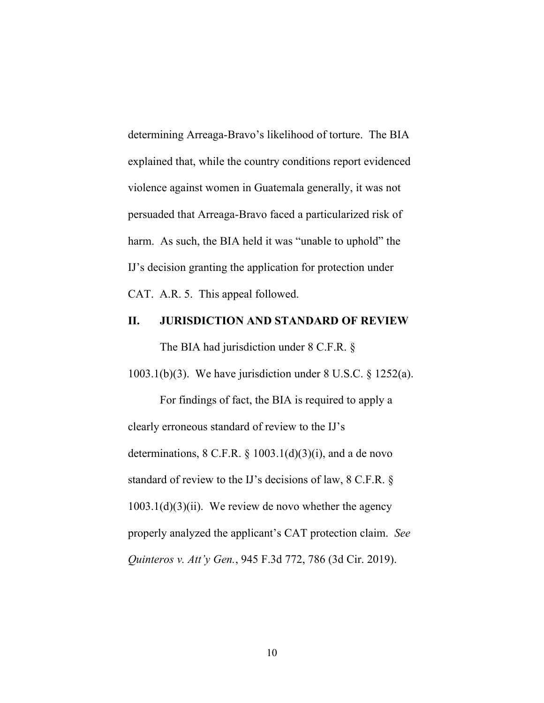determining Arreaga-Bravo's likelihood of torture. The BIA explained that, while the country conditions report evidenced violence against women in Guatemala generally, it was not persuaded that Arreaga-Bravo faced a particularized risk of harm. As such, the BIA held it was "unable to uphold" the IJ's decision granting the application for protection under CAT. A.R. 5.This appeal followed.

#### **II. JURISDICTION AND STANDARD OF REVIEW**

The BIA had jurisdiction under 8 C.F.R. §

1003.1(b)(3). We have jurisdiction under 8 U.S.C. § 1252(a).

For findings of fact, the BIA is required to apply a clearly erroneous standard of review to the IJ's determinations,  $8 \text{ C.F.R. } § 1003.1(d)(3)(i)$ , and a de novo standard of review to the IJ's decisions of law, 8 C.F.R. §  $1003.1(d)(3)(ii)$ . We review de novo whether the agency properly analyzed the applicant's CAT protection claim. *See Quinteros v. Att'y Gen.*, 945 F.3d 772, 786 (3d Cir. 2019).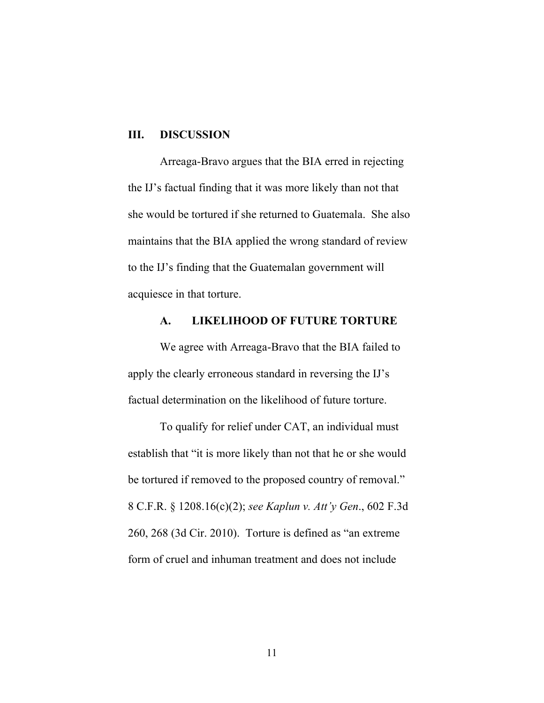#### **III. DISCUSSION**

Arreaga-Bravo argues that the BIA erred in rejecting the IJ's factual finding that it was more likely than not that she would be tortured if she returned to Guatemala. She also maintains that the BIA applied the wrong standard of review to the IJ's finding that the Guatemalan government will acquiesce in that torture.

#### **A. LIKELIHOOD OF FUTURE TORTURE**

We agree with Arreaga-Bravo that the BIA failed to apply the clearly erroneous standard in reversing the IJ's factual determination on the likelihood of future torture.

To qualify for relief under CAT, an individual must establish that "it is more likely than not that he or she would be tortured if removed to the proposed country of removal." 8 C.F.R. § 1208.16(c)(2); *see Kaplun v. Att'y Gen*., 602 F.3d 260, 268 (3d Cir. 2010). Torture is defined as "an extreme form of cruel and inhuman treatment and does not include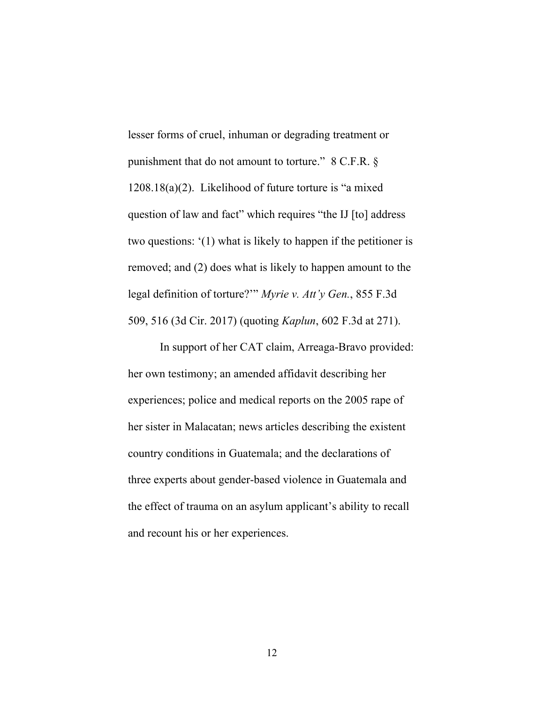lesser forms of cruel, inhuman or degrading treatment or punishment that do not amount to torture." 8 C.F.R. § 1208.18(a)(2). Likelihood of future torture is "a mixed question of law and fact" which requires "the IJ [to] address two questions: '(1) what is likely to happen if the petitioner is removed; and (2) does what is likely to happen amount to the legal definition of torture?'" *Myrie v. Att'y Gen.*, 855 F.3d 509, 516 (3d Cir. 2017) (quoting *Kaplun*, 602 F.3d at 271).

In support of her CAT claim, Arreaga-Bravo provided: her own testimony; an amended affidavit describing her experiences; police and medical reports on the 2005 rape of her sister in Malacatan; news articles describing the existent country conditions in Guatemala; and the declarations of three experts about gender-based violence in Guatemala and the effect of trauma on an asylum applicant's ability to recall and recount his or her experiences.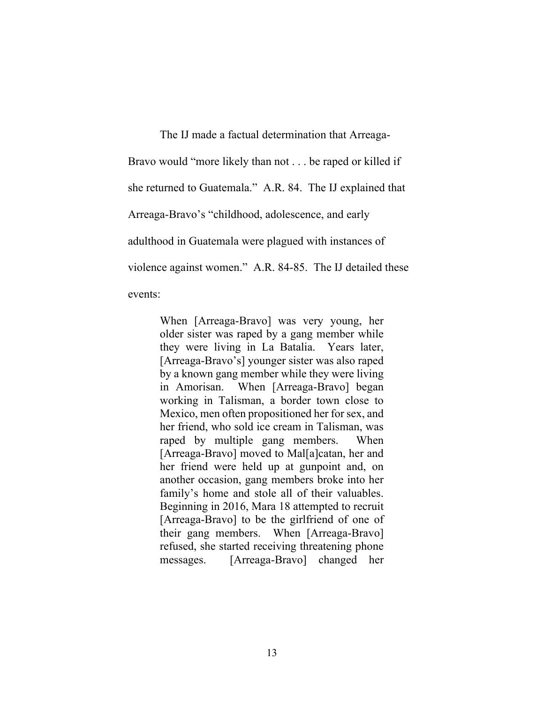The IJ made a factual determination that Arreaga-Bravo would "more likely than not . . . be raped or killed if she returned to Guatemala." A.R. 84. The IJ explained that Arreaga-Bravo's "childhood, adolescence, and early adulthood in Guatemala were plagued with instances of violence against women." A.R. 84-85. The IJ detailed these events:

> When [Arreaga-Bravo] was very young, her older sister was raped by a gang member while they were living in La Batalia. Years later, [Arreaga-Bravo's] younger sister was also raped by a known gang member while they were living in Amorisan. When [Arreaga-Bravo] began working in Talisman, a border town close to Mexico, men often propositioned her for sex, and her friend, who sold ice cream in Talisman, was raped by multiple gang members. When [Arreaga-Bravo] moved to Mal[a]catan, her and her friend were held up at gunpoint and, on another occasion, gang members broke into her family's home and stole all of their valuables. Beginning in 2016, Mara 18 attempted to recruit [Arreaga-Bravo] to be the girlfriend of one of their gang members. When [Arreaga-Bravo] refused, she started receiving threatening phone messages. [Arreaga-Bravo] changed her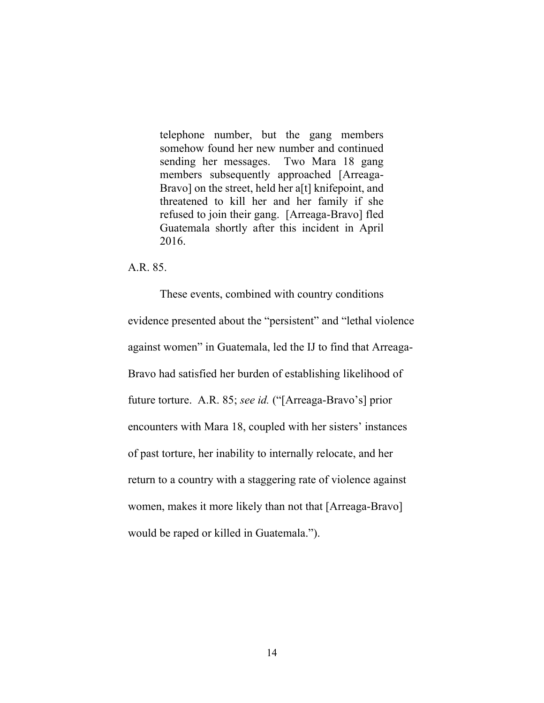telephone number, but the gang members somehow found her new number and continued sending her messages. Two Mara 18 gang members subsequently approached [Arreaga-Bravo] on the street, held her a[t] knifepoint, and threatened to kill her and her family if she refused to join their gang. [Arreaga-Bravo] fled Guatemala shortly after this incident in April 2016.

A.R. 85.

These events, combined with country conditions evidence presented about the "persistent" and "lethal violence against women" in Guatemala, led the IJ to find that Arreaga-Bravo had satisfied her burden of establishing likelihood of future torture. A.R. 85; *see id.* ("[Arreaga-Bravo's] prior encounters with Mara 18, coupled with her sisters' instances of past torture, her inability to internally relocate, and her return to a country with a staggering rate of violence against women, makes it more likely than not that [Arreaga-Bravo] would be raped or killed in Guatemala.").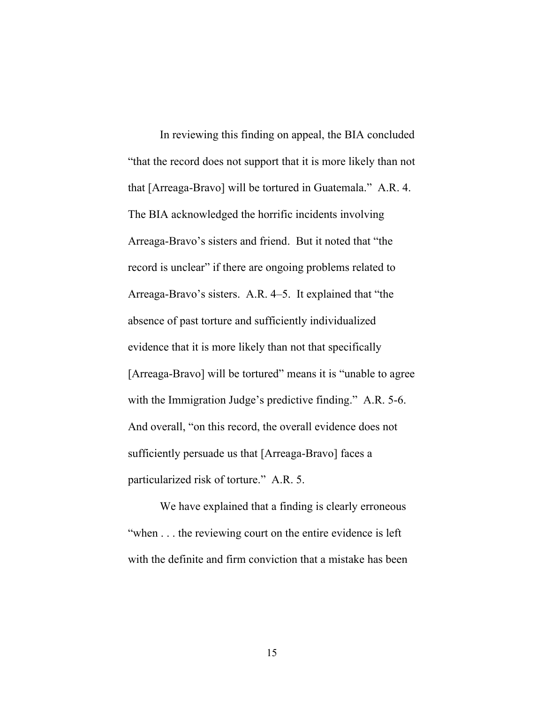In reviewing this finding on appeal, the BIA concluded "that the record does not support that it is more likely than not that [Arreaga-Bravo] will be tortured in Guatemala." A.R. 4. The BIA acknowledged the horrific incidents involving Arreaga-Bravo's sisters and friend. But it noted that "the record is unclear" if there are ongoing problems related to Arreaga-Bravo's sisters. A.R. 4–5. It explained that "the absence of past torture and sufficiently individualized evidence that it is more likely than not that specifically [Arreaga-Bravo] will be tortured" means it is "unable to agree" with the Immigration Judge's predictive finding." A.R. 5-6. And overall, "on this record, the overall evidence does not sufficiently persuade us that [Arreaga-Bravo] faces a particularized risk of torture." A.R. 5.

We have explained that a finding is clearly erroneous "when . . . the reviewing court on the entire evidence is left with the definite and firm conviction that a mistake has been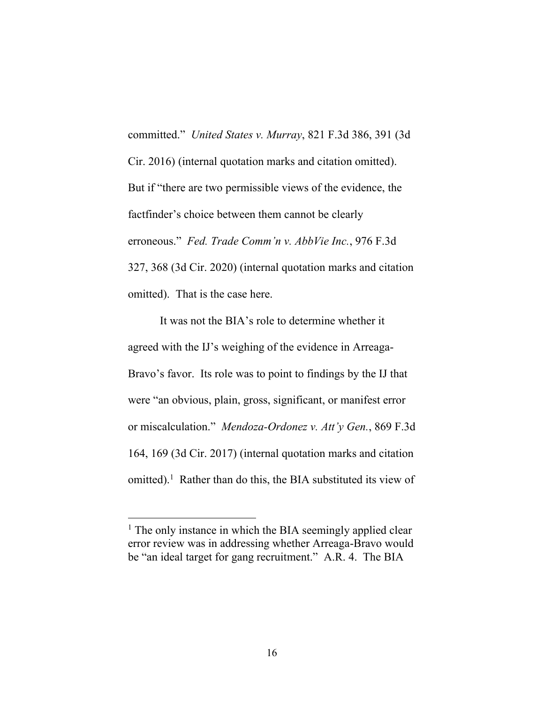committed." *United States v. Murray*, 821 F.3d 386, 391 (3d Cir. 2016) (internal quotation marks and citation omitted). But if "there are two permissible views of the evidence, the factfinder's choice between them cannot be clearly erroneous." *Fed. Trade Comm'n v. AbbVie Inc.*, 976 F.3d 327, 368 (3d Cir. 2020) (internal quotation marks and citation omitted). That is the case here.

It was not the BIA's role to determine whether it agreed with the IJ's weighing of the evidence in Arreaga-Bravo's favor. Its role was to point to findings by the IJ that were "an obvious, plain, gross, significant, or manifest error or miscalculation." *Mendoza-Ordonez v. Att'y Gen.*, 869 F.3d 164, 169 (3d Cir. 2017) (internal quotation marks and citation omitted). 1 Rather than do this, the BIA substituted its view of

<sup>&</sup>lt;sup>1</sup> The only instance in which the BIA seemingly applied clear error review was in addressing whether Arreaga-Bravo would be "an ideal target for gang recruitment." A.R. 4. The BIA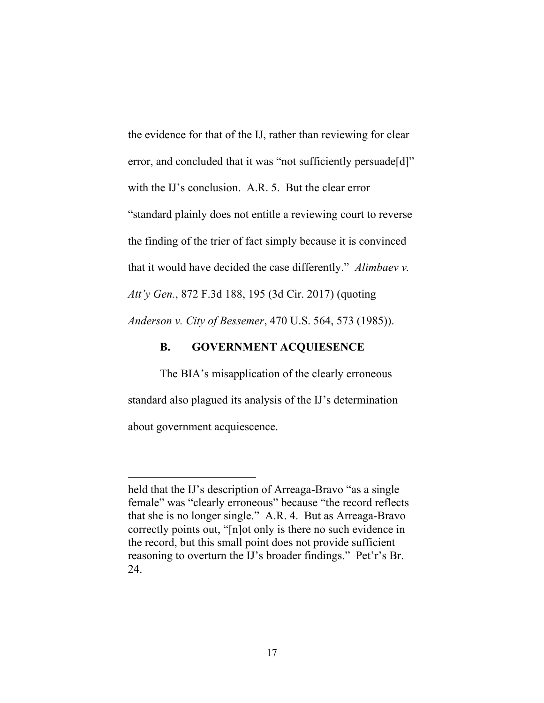the evidence for that of the IJ, rather than reviewing for clear error, and concluded that it was "not sufficiently persuade[d]" with the IJ's conclusion. A.R. 5. But the clear error "standard plainly does not entitle a reviewing court to reverse the finding of the trier of fact simply because it is convinced that it would have decided the case differently." *Alimbaev v. Att'y Gen.*, 872 F.3d 188, 195 (3d Cir. 2017) (quoting *Anderson v. City of Bessemer*, 470 U.S. 564, 573 (1985)).

# **B. GOVERNMENT ACQUIESENCE**

The BIA's misapplication of the clearly erroneous standard also plagued its analysis of the IJ's determination about government acquiescence.

held that the IJ's description of Arreaga-Bravo "as a single" female" was "clearly erroneous" because "the record reflects that she is no longer single." A.R. 4. But as Arreaga-Bravo correctly points out, "[n]ot only is there no such evidence in the record, but this small point does not provide sufficient reasoning to overturn the IJ's broader findings." Pet'r's Br. 24.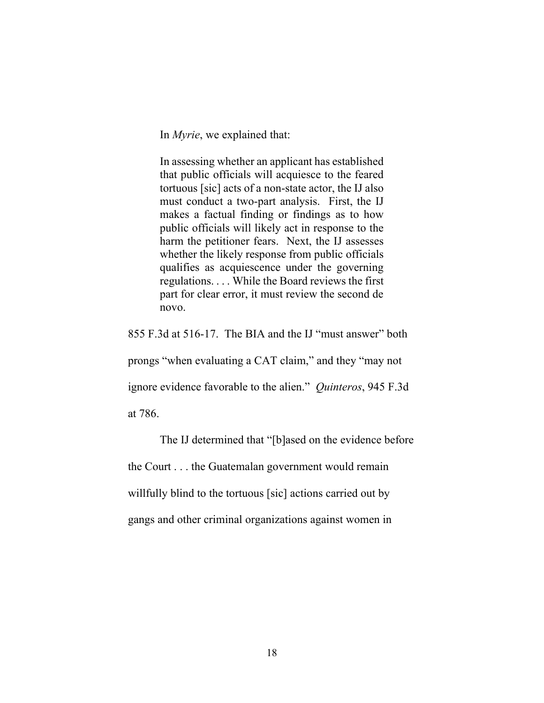In *Myrie*, we explained that:

In assessing whether an applicant has established that public officials will acquiesce to the feared tortuous [sic] acts of a non-state actor, the IJ also must conduct a two-part analysis. First, the IJ makes a factual finding or findings as to how public officials will likely act in response to the harm the petitioner fears. Next, the IJ assesses whether the likely response from public officials qualifies as acquiescence under the governing regulations. . . . While the Board reviews the first part for clear error, it must review the second de novo.

855 F.3d at 516-17. The BIA and the IJ "must answer" both

prongs "when evaluating a CAT claim," and they "may not

ignore evidence favorable to the alien." *Quinteros*, 945 F.3d

at 786.

The IJ determined that "[b]ased on the evidence before the Court . . . the Guatemalan government would remain willfully blind to the tortuous [sic] actions carried out by gangs and other criminal organizations against women in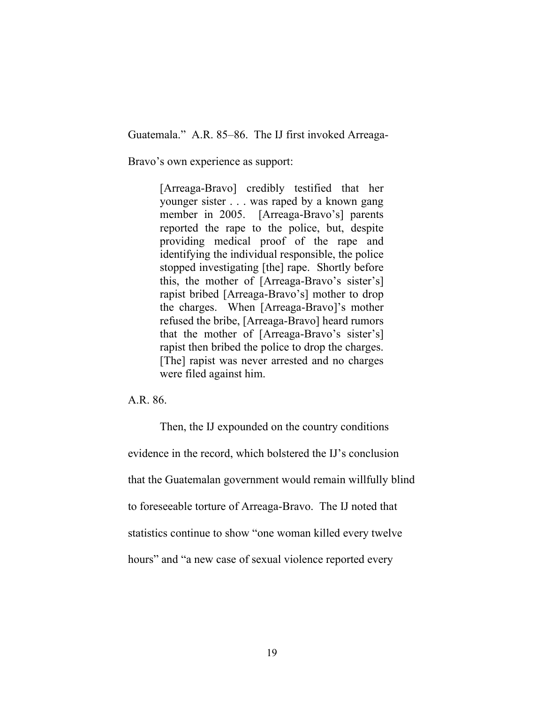Guatemala." A.R. 85–86. The IJ first invoked Arreaga-

Bravo's own experience as support:

[Arreaga-Bravo] credibly testified that her younger sister . . . was raped by a known gang member in 2005. [Arreaga-Bravo's] parents reported the rape to the police, but, despite providing medical proof of the rape and identifying the individual responsible, the police stopped investigating [the] rape. Shortly before this, the mother of [Arreaga-Bravo's sister's] rapist bribed [Arreaga-Bravo's] mother to drop the charges. When [Arreaga-Bravo]'s mother refused the bribe, [Arreaga-Bravo] heard rumors that the mother of [Arreaga-Bravo's sister's] rapist then bribed the police to drop the charges. [The] rapist was never arrested and no charges were filed against him.

A.R. 86.

Then, the IJ expounded on the country conditions evidence in the record, which bolstered the IJ's conclusion that the Guatemalan government would remain willfully blind to foreseeable torture of Arreaga-Bravo. The IJ noted that statistics continue to show "one woman killed every twelve hours" and "a new case of sexual violence reported every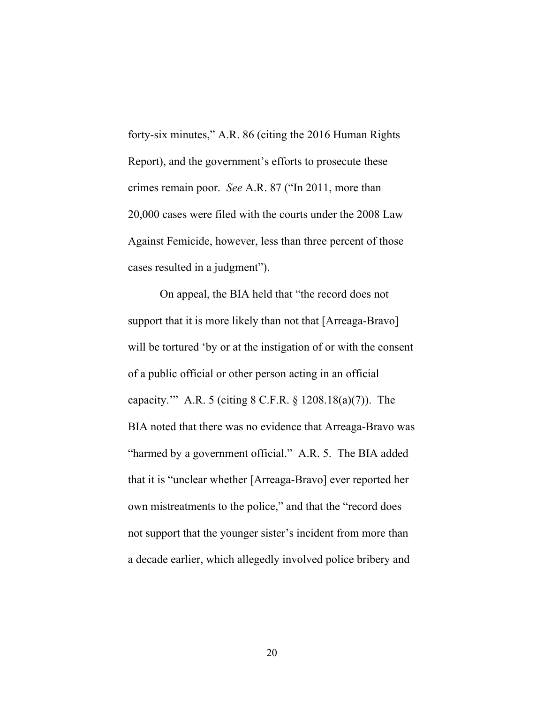forty-six minutes," A.R. 86 (citing the 2016 Human Rights Report), and the government's efforts to prosecute these crimes remain poor. *See* A.R. 87 ("In 2011, more than 20,000 cases were filed with the courts under the 2008 Law Against Femicide, however, less than three percent of those cases resulted in a judgment").

On appeal, the BIA held that "the record does not support that it is more likely than not that [Arreaga-Bravo] will be tortured 'by or at the instigation of or with the consent of a public official or other person acting in an official capacity.'" A.R. 5 (citing 8 C.F.R. § 1208.18(a)(7)). The BIA noted that there was no evidence that Arreaga-Bravo was "harmed by a government official." A.R. 5. The BIA added that it is "unclear whether [Arreaga-Bravo] ever reported her own mistreatments to the police," and that the "record does not support that the younger sister's incident from more than a decade earlier, which allegedly involved police bribery and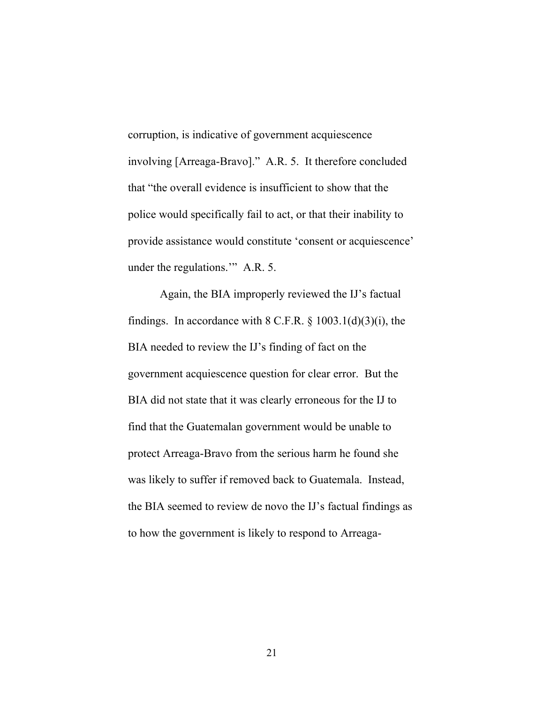corruption, is indicative of government acquiescence involving [Arreaga-Bravo]." A.R. 5. It therefore concluded that "the overall evidence is insufficient to show that the police would specifically fail to act, or that their inability to provide assistance would constitute 'consent or acquiescence' under the regulations.'" A.R. 5.

Again, the BIA improperly reviewed the IJ's factual findings. In accordance with  $8$  C.F.R.  $\S$  1003.1(d)(3)(i), the BIA needed to review the IJ's finding of fact on the government acquiescence question for clear error. But the BIA did not state that it was clearly erroneous for the IJ to find that the Guatemalan government would be unable to protect Arreaga-Bravo from the serious harm he found she was likely to suffer if removed back to Guatemala. Instead, the BIA seemed to review de novo the IJ's factual findings as to how the government is likely to respond to Arreaga-